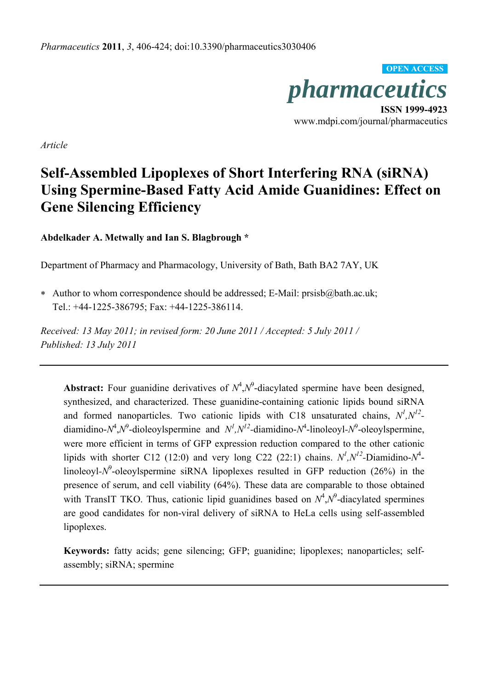

www.mdpi.com/journal/pharmaceutics

*Article* 

# **Self-Assembled Lipoplexes of Short Interfering RNA (siRNA) Using Spermine-Based Fatty Acid Amide Guanidines: Effect on Gene Silencing Efficiency**

**Abdelkader A. Metwally and Ian S. Blagbrough \***

Department of Pharmacy and Pharmacology, University of Bath, Bath BA2 7AY, UK

 Author to whom correspondence should be addressed; E-Mail: prsisb@bath.ac.uk; Tel.: +44-1225-386795; Fax: +44-1225-386114.

*Received: 13 May 2011; in revised form: 20 June 2011 / Accepted: 5 July 2011 / Published: 13 July 2011* 

**Abstract:** Four guanidine derivatives of  $N^4$ ,  $N^9$ -diacylated spermine have been designed, synthesized, and characterized. These guanidine-containing cationic lipids bound siRNA and formed nanoparticles. Two cationic lipids with C18 unsaturated chains,  $N^1, N^{12}$ diamidino- $N^4$ , $N^9$ -dioleoylspermine and  $N^1$ , $N^{12}$ -diamidino- $N^4$ -linoleoyl- $N^9$ -oleoylspermine, were more efficient in terms of GFP expression reduction compared to the other cationic lipids with shorter C12 (12:0) and very long C22 (22:1) chains.  $N^1, N^{12}$ -Diamidino- $N^4$ linoleoyl-N<sup>9</sup>-oleoylspermine siRNA lipoplexes resulted in GFP reduction (26%) in the presence of serum, and cell viability (64%). These data are comparable to those obtained with TransIT TKO. Thus, cationic lipid guanidines based on  $N^4$ , $N^9$ -diacylated spermines are good candidates for non-viral delivery of siRNA to HeLa cells using self-assembled lipoplexes.

**Keywords:** fatty acids; gene silencing; GFP; guanidine; lipoplexes; nanoparticles; selfassembly; siRNA; spermine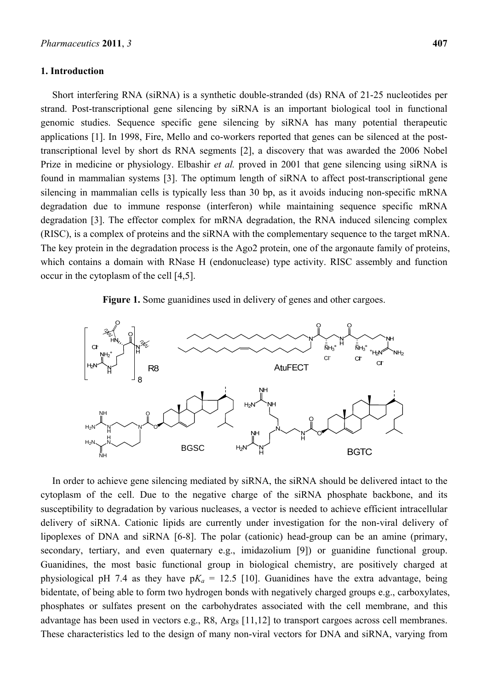#### **1. Introduction**

Short interfering RNA (siRNA) is a synthetic double-stranded (ds) RNA of 21-25 nucleotides per strand. Post-transcriptional gene silencing by siRNA is an important biological tool in functional genomic studies. Sequence specific gene silencing by siRNA has many potential therapeutic applications [1]. In 1998, Fire, Mello and co-workers reported that genes can be silenced at the posttranscriptional level by short ds RNA segments [2], a discovery that was awarded the 2006 Nobel Prize in medicine or physiology. Elbashir *et al.* proved in 2001 that gene silencing using siRNA is found in mammalian systems [3]. The optimum length of siRNA to affect post-transcriptional gene silencing in mammalian cells is typically less than 30 bp, as it avoids inducing non-specific mRNA degradation due to immune response (interferon) while maintaining sequence specific mRNA degradation [3]. The effector complex for mRNA degradation, the RNA induced silencing complex (RISC), is a complex of proteins and the siRNA with the complementary sequence to the target mRNA. The key protein in the degradation process is the Ago2 protein, one of the argonaute family of proteins, which contains a domain with RNase H (endonuclease) type activity. RISC assembly and function occur in the cytoplasm of the cell [4,5].

## **Figure 1.** Some guanidines used in delivery of genes and other cargoes.



In order to achieve gene silencing mediated by siRNA, the siRNA should be delivered intact to the cytoplasm of the cell. Due to the negative charge of the siRNA phosphate backbone, and its susceptibility to degradation by various nucleases, a vector is needed to achieve efficient intracellular delivery of siRNA. Cationic lipids are currently under investigation for the non-viral delivery of lipoplexes of DNA and siRNA [6-8]. The polar (cationic) head-group can be an amine (primary, secondary, tertiary, and even quaternary e.g., imidazolium [9]) or guanidine functional group. Guanidines, the most basic functional group in biological chemistry, are positively charged at physiological pH 7.4 as they have  $pK_a = 12.5$  [10]. Guanidines have the extra advantage, being bidentate, of being able to form two hydrogen bonds with negatively charged groups e.g., carboxylates, phosphates or sulfates present on the carbohydrates associated with the cell membrane, and this advantage has been used in vectors e.g.,  $R8$ ,  $Arg_8$  [11,12] to transport cargoes across cell membranes. These characteristics led to the design of many non-viral vectors for DNA and siRNA, varying from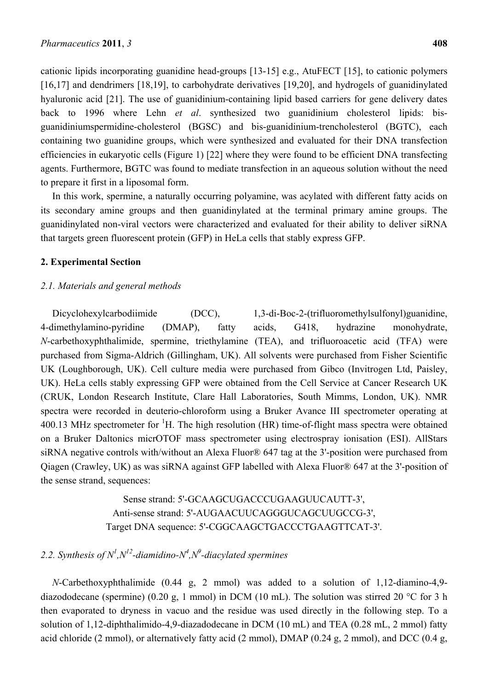cationic lipids incorporating guanidine head-groups [13-15] e.g., AtuFECT [15], to cationic polymers [16,17] and dendrimers [18,19], to carbohydrate derivatives [19,20], and hydrogels of guanidinylated hyaluronic acid [21]. The use of guanidinium-containing lipid based carriers for gene delivery dates back to 1996 where Lehn *et al*. synthesized two guanidinium cholesterol lipids: bisguanidiniumspermidine-cholesterol (BGSC) and bis-guanidinium-trencholesterol (BGTC), each containing two guanidine groups, which were synthesized and evaluated for their DNA transfection efficiencies in eukaryotic cells (Figure 1) [22] where they were found to be efficient DNA transfecting agents. Furthermore, BGTC was found to mediate transfection in an aqueous solution without the need to prepare it first in a liposomal form.

In this work, spermine, a naturally occurring polyamine, was acylated with different fatty acids on its secondary amine groups and then guanidinylated at the terminal primary amine groups. The guanidinylated non-viral vectors were characterized and evaluated for their ability to deliver siRNA that targets green fluorescent protein (GFP) in HeLa cells that stably express GFP.

## **2. Experimental Section**

## *2.1. Materials and general methods*

Dicyclohexylcarbodiimide (DCC), 1,3-di-Boc-2-(trifluoromethylsulfonyl)guanidine, 4-dimethylamino-pyridine (DMAP), fatty acids, G418, hydrazine monohydrate, *N*-carbethoxyphthalimide, spermine, triethylamine (TEA), and trifluoroacetic acid (TFA) were purchased from Sigma-Aldrich (Gillingham, UK). All solvents were purchased from Fisher Scientific UK (Loughborough, UK). Cell culture media were purchased from Gibco (Invitrogen Ltd, Paisley, UK). HeLa cells stably expressing GFP were obtained from the Cell Service at Cancer Research UK (CRUK, London Research Institute, Clare Hall Laboratories, South Mimms, London, UK). NMR spectra were recorded in deuterio-chloroform using a Bruker Avance III spectrometer operating at 400.13 MHz spectrometer for  ${}^{1}$ H. The high resolution (HR) time-of-flight mass spectra were obtained on a Bruker Daltonics micrOTOF mass spectrometer using electrospray ionisation (ESI). AllStars siRNA negative controls with/without an Alexa Fluor® 647 tag at the 3'-position were purchased from Qiagen (Crawley, UK) as was siRNA against GFP labelled with Alexa Fluor® 647 at the 3'-position of the sense strand, sequences:

> Sense strand: 5'-GCAAGCUGACCCUGAAGUUCAUTT-3', Anti-sense strand: 5'-AUGAACUUCAGGGUCAGCUUGCCG-3', Target DNA sequence: 5'-CGGCAAGCTGACCCTGAAGTTCAT-3'.

# 2.2. Synthesis of  $N^1$ ,  $N^{12}$ -diamidino- $N^4$ ,  $N^9$ -diacylated spermines

*N*-Carbethoxyphthalimide (0.44 g, 2 mmol) was added to a solution of 1,12-diamino-4,9 diazododecane (spermine) (0.20 g, 1 mmol) in DCM (10 mL). The solution was stirred 20 °C for 3 h then evaporated to dryness in vacuo and the residue was used directly in the following step. To a solution of 1,12-diphthalimido-4,9-diazadodecane in DCM (10 mL) and TEA (0.28 mL, 2 mmol) fatty acid chloride (2 mmol), or alternatively fatty acid (2 mmol), DMAP (0.24 g, 2 mmol), and DCC (0.4 g,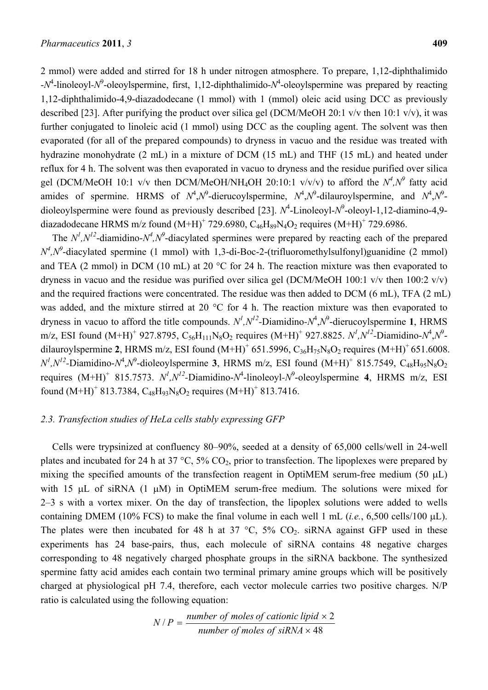2 mmol) were added and stirred for 18 h under nitrogen atmosphere. To prepare, 1,12-diphthalimido - $N^4$ -linoleoyl- $N^9$ -oleoylspermine, first, 1,12-diphthalimido- $N^4$ -oleoylspermine was prepared by reacting 1,12-diphthalimido-4,9-diazadodecane (1 mmol) with 1 (mmol) oleic acid using DCC as previously described [23]. After purifying the product over silica gel (DCM/MeOH 20:1 v/v then 10:1 v/v), it was further conjugated to linoleic acid (1 mmol) using DCC as the coupling agent. The solvent was then evaporated (for all of the prepared compounds) to dryness in vacuo and the residue was treated with hydrazine monohydrate (2 mL) in a mixture of DCM (15 mL) and THF (15 mL) and heated under reflux for 4 h. The solvent was then evaporated in vacuo to dryness and the residue purified over silica gel (DCM/MeOH 10:1 v/v then DCM/MeOH/NH<sub>4</sub>OH 20:10:1 v/v/v) to afford the  $N^4$ , $N^9$  fatty acid amides of spermine. HRMS of  $N^4$ ,  $N^9$ -dierucoylspermine,  $N^4$ ,  $N^9$ -dilauroylspermine, and  $N^4$ ,  $N^9$ dioleoylspermine were found as previously described [23].  $N^4$ -Linoleoyl- $N^9$ -oleoyl-1,12-diamino-4,9diazadodecane HRMS m/z found  $(M+H)^+$  729.6980,  $C_{46}H_{89}N_4O_2$  requires  $(M+H)^+$  729.6986.

The  $N^1$ ,  $N^{12}$ -diamidino- $N^4$ ,  $N^9$ -diacylated spermines were prepared by reacting each of the prepared  $N^4$ , $N^9$ -diacylated spermine (1 mmol) with 1,3-di-Boc-2-(trifluoromethylsulfonyl)guanidine (2 mmol) and TEA (2 mmol) in DCM (10 mL) at 20 °C for 24 h. The reaction mixture was then evaporated to dryness in vacuo and the residue was purified over silica gel (DCM/MeOH 100:1 v/v then 100:2 v/v) and the required fractions were concentrated. The residue was then added to DCM (6 mL), TFA (2 mL) was added, and the mixture stirred at 20 °C for 4 h. The reaction mixture was then evaporated to dryness in vacuo to afford the title compounds.  $N^1, N^{12}$ -Diamidino- $N^4, N^9$ -dierucoylspermine **1**, HRMS m/z, ESI found (M+H)<sup>+</sup> 927.8795, C<sub>56</sub>H<sub>111</sub>N<sub>8</sub>O<sub>2</sub> requires (M+H)<sup>+</sup> 927.8825. *N<sup>1</sup>,N<sup>12</sup>-Diamidino-N<sup>4</sup>,N<sup>9</sup>*dilauroylspermine 2, HRMS m/z, ESI found  $(M+H)^+$  651.5996,  $C_{36}H_{75}N_8O_2$  requires  $(M+H)^+$  651.6008.  $N^1$ , $N^{12}$ -Diamidino- $N^4$ , $N^9$ -dioleoylspermine **3**, HRMS m/z, ESI found  $(M+H)^+$  815.7549, C<sub>48</sub>H<sub>95</sub>N<sub>8</sub>O<sub>2</sub> requires  $(M+H)^+$  815.7573.  $N^1, N^{12}$ -Diamidino- $N^4$ -linoleoyl- $N^9$ -oleoylspermine **4**, HRMS m/z, ESI found  $(M+H)^+$  813.7384,  $C_{48}H_{93}N_8O_2$  requires  $(M+H)^+$  813.7416.

## *2.3. Transfection studies of HeLa cells stably expressing GFP*

Cells were trypsinized at confluency 80–90%, seeded at a density of 65,000 cells/well in 24-well plates and incubated for 24 h at 37  $\degree$ C, 5% CO<sub>2</sub>, prior to transfection. The lipoplexes were prepared by mixing the specified amounts of the transfection reagent in OptiMEM serum-free medium  $(50 \text{ }\mu\text{L})$ with 15  $\mu$ L of siRNA (1  $\mu$ M) in OptiMEM serum-free medium. The solutions were mixed for 2–3 s with a vortex mixer. On the day of transfection, the lipoplex solutions were added to wells containing DMEM (10% FCS) to make the final volume in each well 1 mL (*i.e.*,  $6,500$  cells/100  $\mu$ L). The plates were then incubated for 48 h at 37  $\degree$ C, 5% CO<sub>2</sub>. siRNA against GFP used in these experiments has 24 base-pairs, thus, each molecule of siRNA contains 48 negative charges corresponding to 48 negatively charged phosphate groups in the siRNA backbone. The synthesized spermine fatty acid amides each contain two terminal primary amine groups which will be positively charged at physiological pH 7.4, therefore, each vector molecule carries two positive charges. N/P ratio is calculated using the following equation:

$$
N/P = \frac{number\ of\ moles\ of\ cationic\ lipid\times 2}{number\ of\ moles\ of\ siRNA\times 48}
$$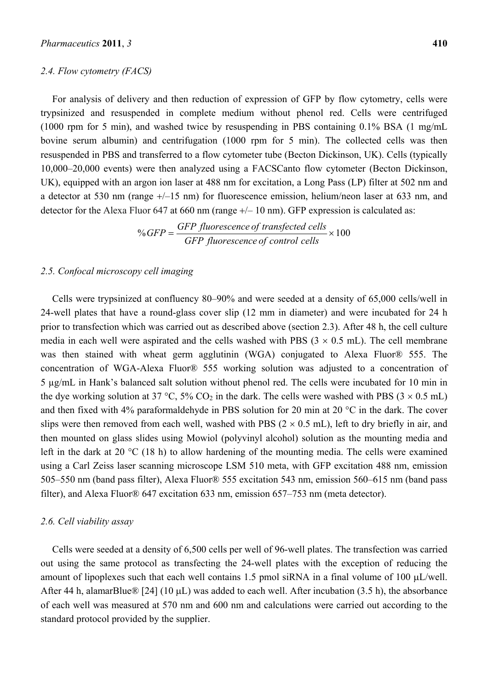#### *2.4. Flow cytometry (FACS)*

For analysis of delivery and then reduction of expression of GFP by flow cytometry, cells were trypsinized and resuspended in complete medium without phenol red. Cells were centrifuged (1000 rpm for 5 min), and washed twice by resuspending in PBS containing 0.1% BSA (1 mg/mL bovine serum albumin) and centrifugation (1000 rpm for 5 min). The collected cells was then resuspended in PBS and transferred to a flow cytometer tube (Becton Dickinson, UK). Cells (typically 10,000–20,000 events) were then analyzed using a FACSCanto flow cytometer (Becton Dickinson, UK), equipped with an argon ion laser at 488 nm for excitation, a Long Pass (LP) filter at 502 nm and a detector at 530 nm (range  $+/-15$  nm) for fluorescence emission, helium/neon laser at 633 nm, and detector for the Alexa Fluor 647 at 660 nm (range  $+/- 10$  nm). GFP expression is calculated as:

$$
\% GFP = \frac{GFP \text{ fluorescence of transfected cells}}{GFP \text{ fluorescence of control cells}} \times 100
$$

#### *2.5. Confocal microscopy cell imaging*

Cells were trypsinized at confluency 80–90% and were seeded at a density of 65,000 cells/well in 24-well plates that have a round-glass cover slip (12 mm in diameter) and were incubated for 24 h prior to transfection which was carried out as described above (section 2.3). After 48 h, the cell culture media in each well were aspirated and the cells washed with PBS  $(3 \times 0.5 \text{ mL})$ . The cell membrane was then stained with wheat germ agglutinin (WGA) conjugated to Alexa Fluor® 555. The concentration of WGA-Alexa Fluor® 555 working solution was adjusted to a concentration of 5 µg/mL in Hank's balanced salt solution without phenol red. The cells were incubated for 10 min in the dye working solution at 37 °C, 5% CO<sub>2</sub> in the dark. The cells were washed with PBS ( $3 \times 0.5$  mL) and then fixed with 4% paraformaldehyde in PBS solution for 20 min at 20 °C in the dark. The cover slips were then removed from each well, washed with PBS ( $2 \times 0.5$  mL), left to dry briefly in air, and then mounted on glass slides using Mowiol (polyvinyl alcohol) solution as the mounting media and left in the dark at 20 °C (18 h) to allow hardening of the mounting media. The cells were examined using a Carl Zeiss laser scanning microscope LSM 510 meta, with GFP excitation 488 nm, emission 505–550 nm (band pass filter), Alexa Fluor® 555 excitation 543 nm, emission 560–615 nm (band pass filter), and Alexa Fluor® 647 excitation 633 nm, emission 657–753 nm (meta detector).

#### *2.6. Cell viability assay*

Cells were seeded at a density of 6,500 cells per well of 96-well plates. The transfection was carried out using the same protocol as transfecting the 24-well plates with the exception of reducing the amount of lipoplexes such that each well contains 1.5 pmol siRNA in a final volume of 100  $\mu$ L/well. After 44 h, alamarBlue® [24] (10  $\mu$ L) was added to each well. After incubation (3.5 h), the absorbance of each well was measured at 570 nm and 600 nm and calculations were carried out according to the standard protocol provided by the supplier.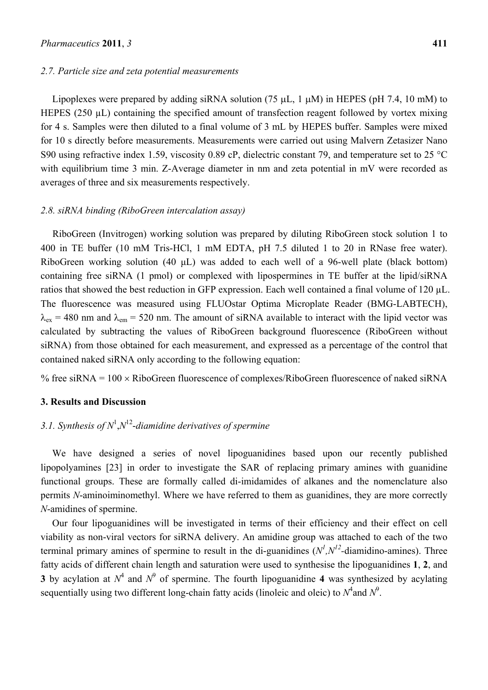#### *2.7. Particle size and zeta potential measurements*

Lipoplexes were prepared by adding siRNA solution (75  $\mu$ L, 1  $\mu$ M) in HEPES (pH 7.4, 10 mM) to HEPES (250  $\mu$ L) containing the specified amount of transfection reagent followed by vortex mixing for 4 s. Samples were then diluted to a final volume of 3 mL by HEPES buffer. Samples were mixed for 10 s directly before measurements. Measurements were carried out using Malvern Zetasizer Nano S90 using refractive index 1.59, viscosity 0.89 cP, dielectric constant 79, and temperature set to 25 °C with equilibrium time 3 min. Z-Average diameter in nm and zeta potential in mV were recorded as averages of three and six measurements respectively.

## *2.8. siRNA binding (RiboGreen intercalation assay)*

RiboGreen (Invitrogen) working solution was prepared by diluting RiboGreen stock solution 1 to 400 in TE buffer (10 mM Tris-HCl, 1 mM EDTA, pH 7.5 diluted 1 to 20 in RNase free water). RiboGreen working solution (40 μL) was added to each well of a 96-well plate (black bottom) containing free siRNA (1 pmol) or complexed with lipospermines in TE buffer at the lipid/siRNA ratios that showed the best reduction in GFP expression. Each well contained a final volume of 120 µL. The fluorescence was measured using FLUOstar Optima Microplate Reader (BMG-LABTECH),  $\lambda_{\rm ex}$  = 480 nm and  $\lambda_{\rm em}$  = 520 nm. The amount of siRNA available to interact with the lipid vector was calculated by subtracting the values of RiboGreen background fluorescence (RiboGreen without siRNA) from those obtained for each measurement, and expressed as a percentage of the control that contained naked siRNA only according to the following equation:

% free siRNA =  $100 \times$  RiboGreen fluorescence of complexes/RiboGreen fluorescence of naked siRNA

## **3. Results and Discussion**

## 3.1. Synthesis of  $N^1$ ,  $N^{12}$ -diamidine derivatives of spermine

We have designed a series of novel lipoguanidines based upon our recently published lipopolyamines [23] in order to investigate the SAR of replacing primary amines with guanidine functional groups. These are formally called di-imidamides of alkanes and the nomenclature also permits *N*-aminoiminomethyl. Where we have referred to them as guanidines, they are more correctly *N*-amidines of spermine.

Our four lipoguanidines will be investigated in terms of their efficiency and their effect on cell viability as non-viral vectors for siRNA delivery. An amidine group was attached to each of the two terminal primary amines of spermine to result in the di-guanidines  $(N^l, N^{l2}$ -diamidino-amines). Three fatty acids of different chain length and saturation were used to synthesise the lipoguanidines **1**, **2**, and **3** by acylation at  $N^4$  and  $N^9$  of spermine. The fourth lipoguanidine 4 was synthesized by acylating sequentially using two different long-chain fatty acids (linoleic and oleic) to  $N^4$  and  $N^9$ .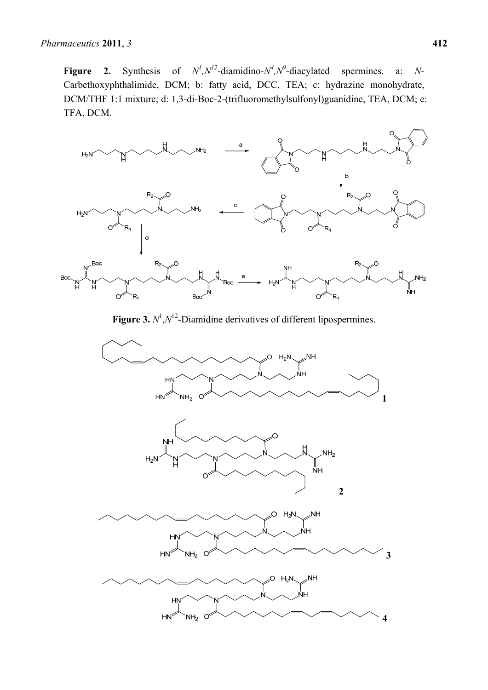**Figure 2.** Synthesis of  $N^l$ ,  $N^{l2}$ -diamidino- $N^l$ ,  $N^o$ -diacylated spermines. a: N-Carbethoxyphthalimide, DCM; b: fatty acid, DCC, TEA; c: hydrazine monohydrate, DCM/THF 1:1 mixture; d: 1,3-di-Boc-2-(trifluoromethylsulfonyl)guanidine, TEA, DCM; e: TFA, DCM.



**Figure 3.**  $N^1$ ,  $N^{12}$ -Diamidine derivatives of different lipospermines.

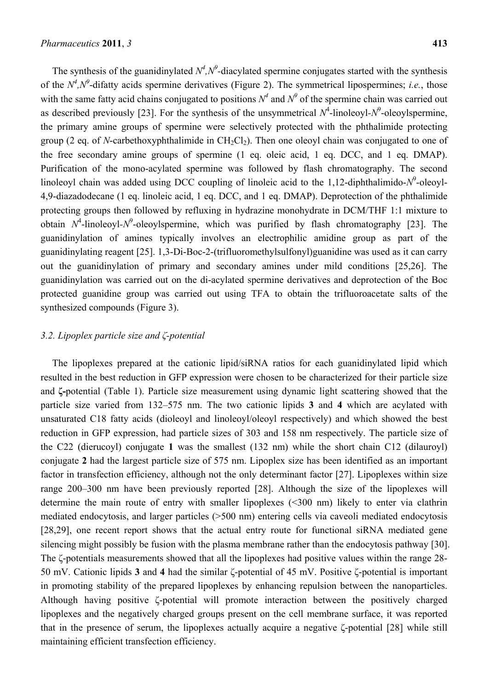The synthesis of the guanidinylated  $N^4$ ,  $N^9$ -diacylated spermine conjugates started with the synthesis of the  $N^4$ , $N^9$ -difatty acids spermine derivatives (Figure 2). The symmetrical lipospermines; *i.e.*, those with the same fatty acid chains conjugated to positions  $N^4$  and  $N^9$  of the spermine chain was carried out as described previously [23]. For the synthesis of the unsymmetrical  $N^4$ -linoleoyl- $N^9$ -oleoylspermine, the primary amine groups of spermine were selectively protected with the phthalimide protecting group (2 eq. of *N*-carbethoxyphthalimide in CH<sub>2</sub>Cl<sub>2</sub>). Then one oleoyl chain was conjugated to one of the free secondary amine groups of spermine (1 eq. oleic acid, 1 eq. DCC, and 1 eq. DMAP). Purification of the mono-acylated spermine was followed by flash chromatography. The second linoleoyl chain was added using DCC coupling of linoleic acid to the 1,12-diphthalimido- $N^9$ -oleoyl-4,9-diazadodecane (1 eq. linoleic acid, 1 eq. DCC, and 1 eq. DMAP). Deprotection of the phthalimide protecting groups then followed by refluxing in hydrazine monohydrate in DCM/THF 1:1 mixture to obtain  $N^4$ -linoleoyl- $N^9$ -oleoylspermine, which was purified by flash chromatography [23]. The guanidinylation of amines typically involves an electrophilic amidine group as part of the guanidinylating reagent [25]. 1,3-Di-Boc-2-(trifluoromethylsulfonyl)guanidine was used as it can carry out the guanidinylation of primary and secondary amines under mild conditions [25,26]. The guanidinylation was carried out on the di-acylated spermine derivatives and deprotection of the Boc protected guanidine group was carried out using TFA to obtain the trifluoroacetate salts of the synthesized compounds (Figure 3).

#### *3.2. Lipoplex particle size and ζ-potential*

The lipoplexes prepared at the cationic lipid/siRNA ratios for each guanidinylated lipid which resulted in the best reduction in GFP expression were chosen to be characterized for their particle size and **ζ-**potential (Table 1). Particle size measurement using dynamic light scattering showed that the particle size varied from 132–575 nm. The two cationic lipids **3** and **4** which are acylated with unsaturated C18 fatty acids (dioleoyl and linoleoyl/oleoyl respectively) and which showed the best reduction in GFP expression, had particle sizes of 303 and 158 nm respectively. The particle size of the C22 (dierucoyl) conjugate **1** was the smallest (132 nm) while the short chain C12 (dilauroyl) conjugate **2** had the largest particle size of 575 nm. Lipoplex size has been identified as an important factor in transfection efficiency, although not the only determinant factor [27]. Lipoplexes within size range 200–300 nm have been previously reported [28]. Although the size of the lipoplexes will determine the main route of entry with smaller lipoplexes (<300 nm) likely to enter via clathrin mediated endocytosis, and larger particles (>500 nm) entering cells via caveoli mediated endocytosis [28,29], one recent report shows that the actual entry route for functional siRNA mediated gene silencing might possibly be fusion with the plasma membrane rather than the endocytosis pathway [30]. The ζ-potentials measurements showed that all the lipoplexes had positive values within the range 28- 50 mV. Cationic lipids **3** and **4** had the similar ζ-potential of 45 mV. Positive ζ-potential is important in promoting stability of the prepared lipoplexes by enhancing repulsion between the nanoparticles. Although having positive ζ-potential will promote interaction between the positively charged lipoplexes and the negatively charged groups present on the cell membrane surface, it was reported that in the presence of serum, the lipoplexes actually acquire a negative ζ-potential [28] while still maintaining efficient transfection efficiency.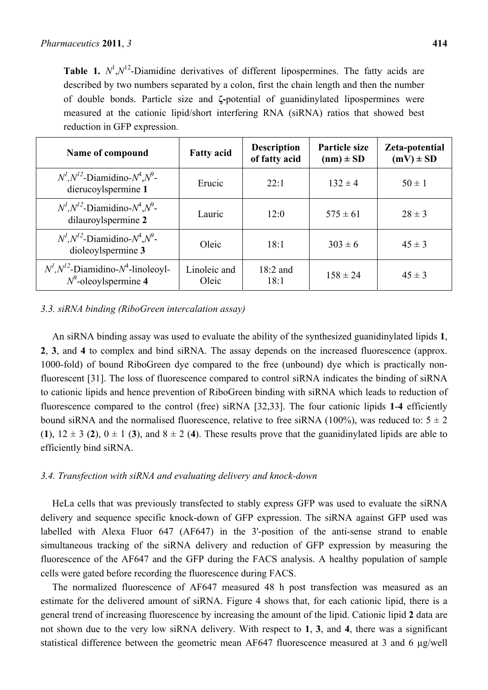**Table 1.**  $N^1$ , $N^{12}$ -Diamidine derivatives of different lipospermines. The fatty acids are described by two numbers separated by a colon, first the chain length and then the number of double bonds. Particle size and **ζ-**potential of guanidinylated lipospermines were measured at the cationic lipid/short interfering RNA (siRNA) ratios that showed best reduction in GFP expression.

| Name of compound                                                       | <b>Fatty acid</b>     | <b>Description</b><br>of fatty acid | <b>Particle size</b><br>$(nm) \pm SD$ | Zeta-potential<br>$(mV) \pm SD$ |
|------------------------------------------------------------------------|-----------------------|-------------------------------------|---------------------------------------|---------------------------------|
| $N^1, N^{12}$ -Diamidino- $N^4, N^9$ -<br>dierucoylspermine 1          | Erucic                | 22:1                                | $132 \pm 4$                           | $50 \pm 1$                      |
| $N^1, N^{12}$ -Diamidino- $N^4, N^9$ -<br>dilauroylspermine 2          | Lauric                | 12:0                                | $575 \pm 61$                          | $28 \pm 3$                      |
| $N^1$ , $N^{12}$ -Diamidino- $N^4$ , $N^9$ -<br>dioleoylspermine 3     | Oleic                 | 18:1                                | $303 \pm 6$                           | $45 \pm 3$                      |
| $N^1, N^{12}$ -Diamidino- $N^4$ -linoleoyl-<br>$N^9$ -oleoylspermine 4 | Linoleic and<br>Oleic | $18:2$ and<br>18:1                  | $158 \pm 24$                          | $45 \pm 3$                      |

## *3.3. siRNA binding (RiboGreen intercalation assay)*

An siRNA binding assay was used to evaluate the ability of the synthesized guanidinylated lipids **1**, **2**, **3**, and **4** to complex and bind siRNA. The assay depends on the increased fluorescence (approx. 1000-fold) of bound RiboGreen dye compared to the free (unbound) dye which is practically nonfluorescent [31]. The loss of fluorescence compared to control siRNA indicates the binding of siRNA to cationic lipids and hence prevention of RiboGreen binding with siRNA which leads to reduction of fluorescence compared to the control (free) siRNA [32,33]. The four cationic lipids **1**-**4** efficiently bound siRNA and the normalised fluorescence, relative to free siRNA (100%), was reduced to:  $5 \pm 2$ (**1**),  $12 \pm 3$  (**2**),  $0 \pm 1$  (**3**), and  $8 \pm 2$  (**4**). These results prove that the guanidinylated lipids are able to efficiently bind siRNA.

## *3.4. Transfection with siRNA and evaluating delivery and knock-down*

HeLa cells that was previously transfected to stably express GFP was used to evaluate the siRNA delivery and sequence specific knock-down of GFP expression. The siRNA against GFP used was labelled with Alexa Fluor 647 (AF647) in the 3'-position of the anti-sense strand to enable simultaneous tracking of the siRNA delivery and reduction of GFP expression by measuring the fluorescence of the AF647 and the GFP during the FACS analysis. A healthy population of sample cells were gated before recording the fluorescence during FACS.

The normalized fluorescence of AF647 measured 48 h post transfection was measured as an estimate for the delivered amount of siRNA. Figure 4 shows that, for each cationic lipid, there is a general trend of increasing fluorescence by increasing the amount of the lipid. Cationic lipid **2** data are not shown due to the very low siRNA delivery. With respect to **1**, **3**, and **4**, there was a significant statistical difference between the geometric mean AF647 fluorescence measured at 3 and 6 µg/well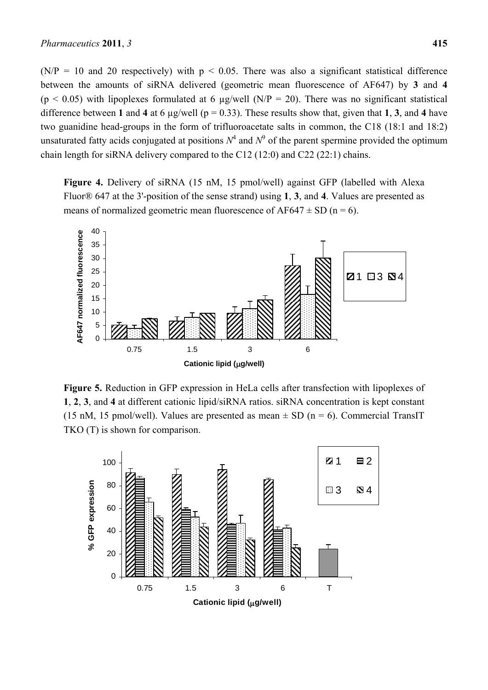$(N/P = 10$  and 20 respectively) with  $p < 0.05$ . There was also a significant statistical difference between the amounts of siRNA delivered (geometric mean fluorescence of AF647) by **3** and **4**  $(p < 0.05)$  with lipoplexes formulated at 6 µg/well (N/P = 20). There was no significant statistical difference between **1** and **4** at 6  $\mu$ g/well ( $p = 0.33$ ). These results show that, given that **1**, **3**, and **4** have two guanidine head-groups in the form of trifluoroacetate salts in common, the C18 (18:1 and 18:2) unsaturated fatty acids conjugated at positions  $N^4$  and  $N^9$  of the parent spermine provided the optimum chain length for siRNA delivery compared to the C12 (12:0) and C22 (22:1) chains.

**Figure 4.** Delivery of siRNA (15 nM, 15 pmol/well) against GFP (labelled with Alexa Fluor® 647 at the 3'-position of the sense strand) using **1**, **3**, and **4**. Values are presented as means of normalized geometric mean fluorescence of  $AF647 \pm SD$  (n = 6).



**Figure 5.** Reduction in GFP expression in HeLa cells after transfection with lipoplexes of **1**, **2**, **3**, and **4** at different cationic lipid/siRNA ratios. siRNA concentration is kept constant (15 nM, 15 pmol/well). Values are presented as mean  $\pm$  SD (n = 6). Commercial TransIT TKO (T) is shown for comparison.

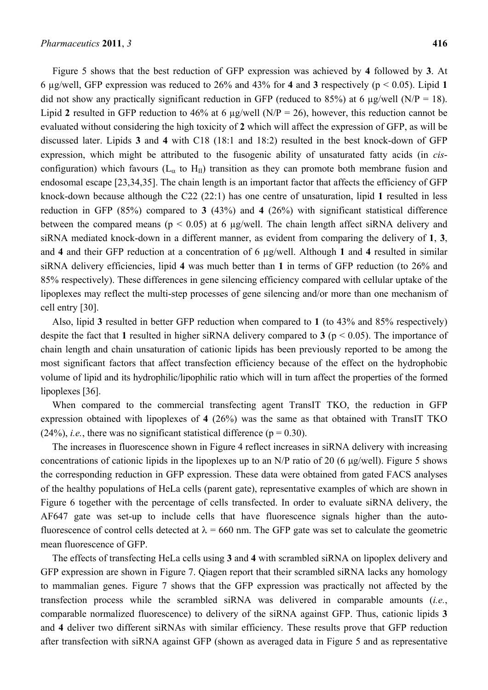Figure 5 shows that the best reduction of GFP expression was achieved by **4** followed by **3**. At 6 µg/well, GFP expression was reduced to 26% and 43% for **4** and **3** respectively (p < 0.05). Lipid **1** did not show any practically significant reduction in GFP (reduced to 85%) at 6  $\mu$ g/well (N/P = 18). Lipid **2** resulted in GFP reduction to 46% at 6 µg/well (N/P = 26), however, this reduction cannot be evaluated without considering the high toxicity of **2** which will affect the expression of GFP, as will be discussed later. Lipids **3** and **4** with C18 (18:1 and 18:2) resulted in the best knock-down of GFP expression, which might be attributed to the fusogenic ability of unsaturated fatty acids (in *cis*configuration) which favours ( $L_{\alpha}$  to H<sub>II</sub>) transition as they can promote both membrane fusion and endosomal escape [23,34,35]. The chain length is an important factor that affects the efficiency of GFP knock-down because although the C22 (22:1) has one centre of unsaturation, lipid **1** resulted in less reduction in GFP (85%) compared to **3** (43%) and **4** (26%) with significant statistical difference between the compared means ( $p < 0.05$ ) at 6 µg/well. The chain length affect siRNA delivery and siRNA mediated knock-down in a different manner, as evident from comparing the delivery of **1**, **3**, and **4** and their GFP reduction at a concentration of 6 µg/well. Although **1** and **4** resulted in similar siRNA delivery efficiencies, lipid **4** was much better than **1** in terms of GFP reduction (to 26% and 85% respectively). These differences in gene silencing efficiency compared with cellular uptake of the lipoplexes may reflect the multi-step processes of gene silencing and/or more than one mechanism of cell entry [30].

Also, lipid **3** resulted in better GFP reduction when compared to **1** (to 43% and 85% respectively) despite the fact that **1** resulted in higher siRNA delivery compared to **3** (p < 0.05). The importance of chain length and chain unsaturation of cationic lipids has been previously reported to be among the most significant factors that affect transfection efficiency because of the effect on the hydrophobic volume of lipid and its hydrophilic/lipophilic ratio which will in turn affect the properties of the formed lipoplexes [36].

When compared to the commercial transfecting agent TransIT TKO, the reduction in GFP expression obtained with lipoplexes of **4** (26%) was the same as that obtained with TransIT TKO  $(24\%)$ , *i.e.*, there was no significant statistical difference ( $p = 0.30$ ).

The increases in fluorescence shown in Figure 4 reflect increases in siRNA delivery with increasing concentrations of cationic lipids in the lipoplexes up to an N/P ratio of 20 (6 μg/well). Figure 5 shows the corresponding reduction in GFP expression. These data were obtained from gated FACS analyses of the healthy populations of HeLa cells (parent gate), representative examples of which are shown in Figure 6 together with the percentage of cells transfected. In order to evaluate siRNA delivery, the AF647 gate was set-up to include cells that have fluorescence signals higher than the autofluorescence of control cells detected at  $\lambda = 660$  nm. The GFP gate was set to calculate the geometric mean fluorescence of GFP.

The effects of transfecting HeLa cells using **3** and **4** with scrambled siRNA on lipoplex delivery and GFP expression are shown in Figure 7. Qiagen report that their scrambled siRNA lacks any homology to mammalian genes. Figure 7 shows that the GFP expression was practically not affected by the transfection process while the scrambled siRNA was delivered in comparable amounts (*i.e.*, comparable normalized fluorescence) to delivery of the siRNA against GFP. Thus, cationic lipids **3** and **4** deliver two different siRNAs with similar efficiency. These results prove that GFP reduction after transfection with siRNA against GFP (shown as averaged data in Figure 5 and as representative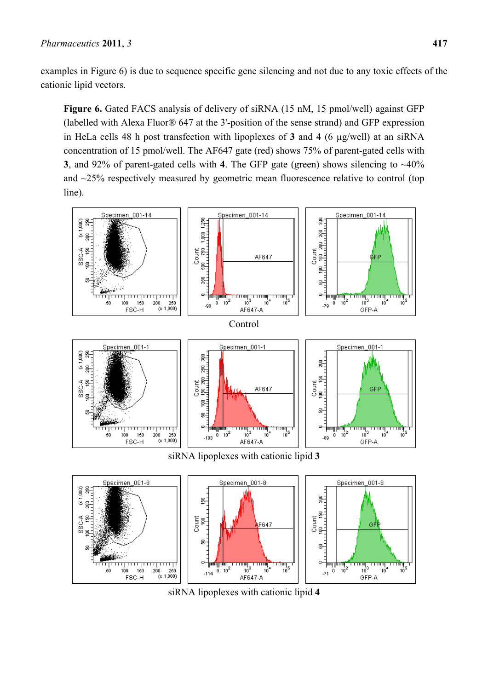examples in Figure 6) is due to sequence specific gene silencing and not due to any toxic effects of the cationic lipid vectors.

**Figure 6.** Gated FACS analysis of delivery of siRNA (15 nM, 15 pmol/well) against GFP (labelled with Alexa Fluor® 647 at the 3'-position of the sense strand) and GFP expression in HeLa cells 48 h post transfection with lipoplexes of **3** and **4** (6 µg/well) at an siRNA concentration of 15 pmol/well. The AF647 gate (red) shows 75% of parent-gated cells with **3**, and 92% of parent-gated cells with **4**. The GFP gate (green) shows silencing to ~40% and ~25% respectively measured by geometric mean fluorescence relative to control (top line).



siRNA lipoplexes with cationic lipid **4**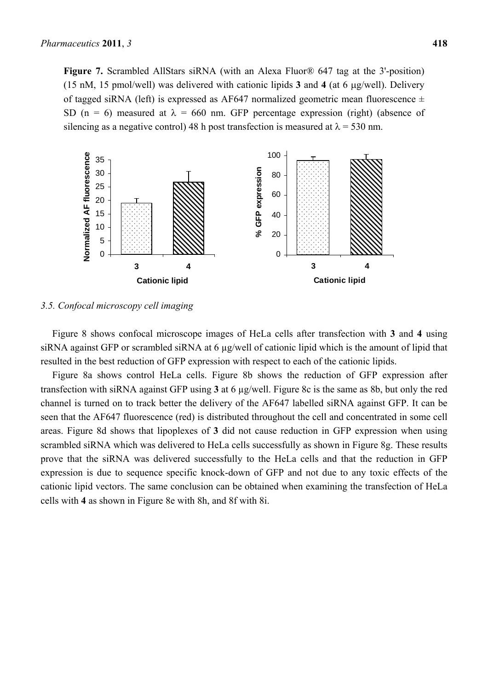**Figure 7.** Scrambled AllStars siRNA (with an Alexa Fluor® 647 tag at the 3'-position) (15 nM, 15 pmol/well) was delivered with cationic lipids  $3$  and  $4$  (at 6  $\mu$ g/well). Delivery of tagged siRNA (left) is expressed as AF647 normalized geometric mean fluorescence  $\pm$ SD (n = 6) measured at  $\lambda$  = 660 nm. GFP percentage expression (right) (absence of silencing as a negative control) 48 h post transfection is measured at  $\lambda$  = 530 nm.



#### *3.5. Confocal microscopy cell imaging*

Figure 8 shows confocal microscope images of HeLa cells after transfection with **3** and **4** using siRNA against GFP or scrambled siRNA at 6 µg/well of cationic lipid which is the amount of lipid that resulted in the best reduction of GFP expression with respect to each of the cationic lipids.

Figure 8a shows control HeLa cells. Figure 8b shows the reduction of GFP expression after transfection with siRNA against GFP using **3** at 6 µg/well. Figure 8c is the same as 8b, but only the red channel is turned on to track better the delivery of the AF647 labelled siRNA against GFP. It can be seen that the AF647 fluorescence (red) is distributed throughout the cell and concentrated in some cell areas. Figure 8d shows that lipoplexes of **3** did not cause reduction in GFP expression when using scrambled siRNA which was delivered to HeLa cells successfully as shown in Figure 8g. These results prove that the siRNA was delivered successfully to the HeLa cells and that the reduction in GFP expression is due to sequence specific knock-down of GFP and not due to any toxic effects of the cationic lipid vectors. The same conclusion can be obtained when examining the transfection of HeLa cells with **4** as shown in Figure 8e with 8h, and 8f with 8i.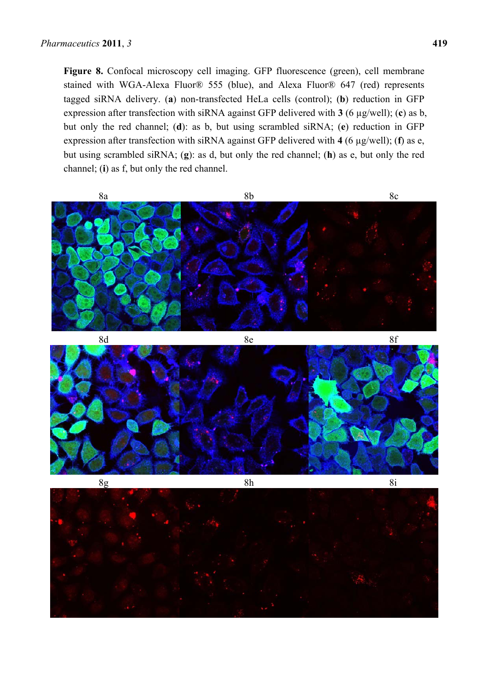**Figure 8.** Confocal microscopy cell imaging. GFP fluorescence (green), cell membrane stained with WGA-Alexa Fluor® 555 (blue), and Alexa Fluor® 647 (red) represents tagged siRNA delivery. (**a**) non-transfected HeLa cells (control); (**b**) reduction in GFP expression after transfection with siRNA against GFP delivered with **3** (6 µg/well); (**c**) as b, but only the red channel; (**d**): as b, but using scrambled siRNA; (**e**) reduction in GFP expression after transfection with siRNA against GFP delivered with **4** (6 µg/well); (**f**) as e, but using scrambled siRNA; (**g**): as d, but only the red channel; (**h**) as e, but only the red channel; (**i**) as f, but only the red channel.

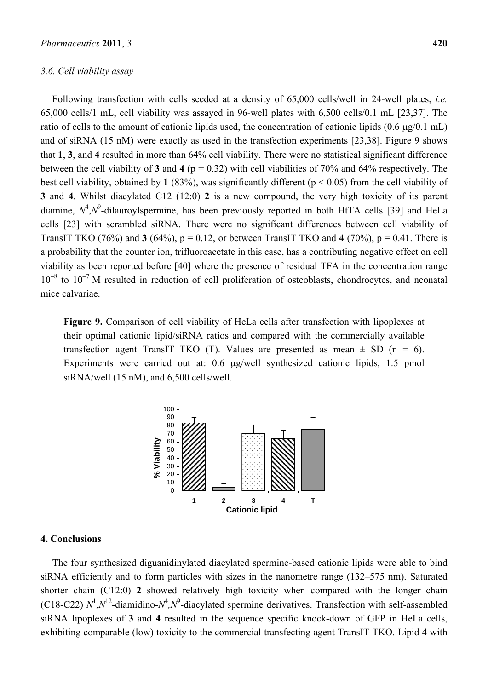#### *3.6. Cell viability assay*

Following transfection with cells seeded at a density of 65,000 cells/well in 24-well plates, *i.e.*  65,000 cells/1 mL, cell viability was assayed in 96-well plates with 6,500 cells/0.1 mL [23,37]. The ratio of cells to the amount of cationic lipids used, the concentration of cationic lipids  $(0.6 \mu g/0.1 \text{ mL})$ and of siRNA (15 nM) were exactly as used in the transfection experiments [23,38]. Figure 9 shows that **1**, **3**, and **4** resulted in more than 64% cell viability. There were no statistical significant difference between the cell viability of **3** and **4** (p = 0.32) with cell viabilities of 70% and 64% respectively. The best cell viability, obtained by 1  $(83\%)$ , was significantly different  $(p < 0.05)$  from the cell viability of **3** and **4**. Whilst diacylated C12 (12:0) **2** is a new compound, the very high toxicity of its parent diamine,  $N^4$ , $N^9$ -dilauroylspermine, has been previously reported in both HtTA cells [39] and HeLa cells [23] with scrambled siRNA. There were no significant differences between cell viability of TransIT TKO (76%) and **3** (64%),  $p = 0.12$ , or between TransIT TKO and 4 (70%),  $p = 0.41$ . There is a probability that the counter ion, trifluoroacetate in this case, has a contributing negative effect on cell viability as been reported before [40] where the presence of residual TFA in the concentration range  $10^{-8}$  to  $10^{-7}$  M resulted in reduction of cell proliferation of osteoblasts, chondrocytes, and neonatal mice calvariae.

**Figure 9.** Comparison of cell viability of HeLa cells after transfection with lipoplexes at their optimal cationic lipid/siRNA ratios and compared with the commercially available transfection agent TransIT TKO (T). Values are presented as mean  $\pm$  SD (n = 6). Experiments were carried out at: 0.6 µg/well synthesized cationic lipids, 1.5 pmol siRNA/well (15 nM), and 6,500 cells/well.



## **4. Conclusions**

The four synthesized diguanidinylated diacylated spermine-based cationic lipids were able to bind siRNA efficiently and to form particles with sizes in the nanometre range (132–575 nm). Saturated shorter chain (C12:0) **2** showed relatively high toxicity when compared with the longer chain (C18-C22)  $N^1$ , $N^{12}$ -diamidino- $N^4$ , $N^9$ -diacylated spermine derivatives. Transfection with self-assembled siRNA lipoplexes of **3** and **4** resulted in the sequence specific knock-down of GFP in HeLa cells, exhibiting comparable (low) toxicity to the commercial transfecting agent TransIT TKO. Lipid **4** with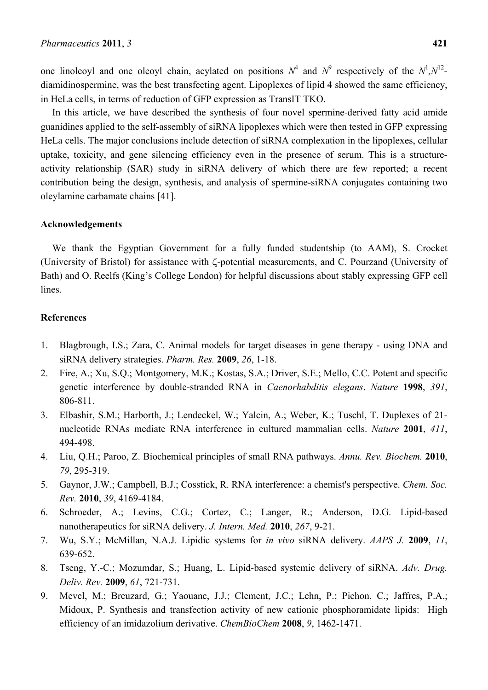one linoleoyl and one oleoyl chain, acylated on positions  $N^4$  and  $N^9$  respectively of the  $N^1, N^{12}$ diamidinospermine, was the best transfecting agent. Lipoplexes of lipid **4** showed the same efficiency, in HeLa cells, in terms of reduction of GFP expression as TransIT TKO.

In this article, we have described the synthesis of four novel spermine-derived fatty acid amide guanidines applied to the self-assembly of siRNA lipoplexes which were then tested in GFP expressing HeLa cells. The major conclusions include detection of siRNA complexation in the lipoplexes, cellular uptake, toxicity, and gene silencing efficiency even in the presence of serum. This is a structureactivity relationship (SAR) study in siRNA delivery of which there are few reported; a recent contribution being the design, synthesis, and analysis of spermine-siRNA conjugates containing two oleylamine carbamate chains [41].

#### **Acknowledgements**

We thank the Egyptian Government for a fully funded studentship (to AAM), S. Crocket (University of Bristol) for assistance with  $\zeta$ -potential measurements, and C. Pourzand (University of Bath) and O. Reelfs (King's College London) for helpful discussions about stably expressing GFP cell lines.

## **References**

- 1. Blagbrough, I.S.; Zara, C. Animal models for target diseases in gene therapy using DNA and siRNA delivery strategies. *Pharm. Res.* **2009**, *26*, 1-18.
- 2. Fire, A.; Xu, S.Q.; Montgomery, M.K.; Kostas, S.A.; Driver, S.E.; Mello, C.C. Potent and specific genetic interference by double-stranded RNA in *Caenorhabditis elegans*. *Nature* **1998**, *391*, 806-811.
- 3. Elbashir, S.M.; Harborth, J.; Lendeckel, W.; Yalcin, A.; Weber, K.; Tuschl, T. Duplexes of 21 nucleotide RNAs mediate RNA interference in cultured mammalian cells. *Nature* **2001**, *411*, 494-498.
- 4. Liu, Q.H.; Paroo, Z. Biochemical principles of small RNA pathways. *Annu. Rev. Biochem.* **2010**, *79*, 295-319.
- 5. Gaynor, J.W.; Campbell, B.J.; Cosstick, R. RNA interference: a chemist's perspective. *Chem. Soc. Rev.* **2010**, *39*, 4169-4184.
- 6. Schroeder, A.; Levins, C.G.; Cortez, C.; Langer, R.; Anderson, D.G. Lipid-based nanotherapeutics for siRNA delivery. *J. Intern. Med.* **2010**, *267*, 9-21.
- 7. Wu, S.Y.; McMillan, N.A.J. Lipidic systems for *in vivo* siRNA delivery. *AAPS J.* **2009**, *11*, 639-652.
- 8. Tseng, Y.-C.; Mozumdar, S.; Huang, L. Lipid-based systemic delivery of siRNA. *Adv. Drug. Deliv. Rev.* **2009**, *61*, 721-731.
- 9. Mevel, M.; Breuzard, G.; Yaouanc, J.J.; Clement, J.C.; Lehn, P.; Pichon, C.; Jaffres, P.A.; Midoux, P. Synthesis and transfection activity of new cationic phosphoramidate lipids: High efficiency of an imidazolium derivative. *ChemBioChem* **2008**, *9*, 1462-1471.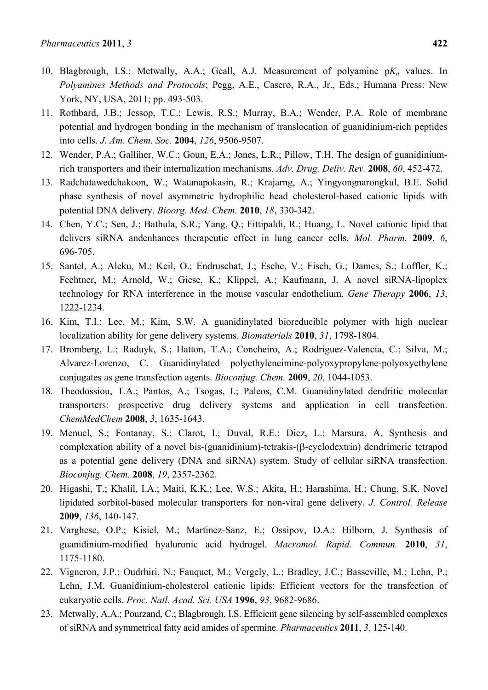- 10. Blagbrough, I.S.; Metwally, A.A.; Geall, A.J. Measurement of polyamine p*Ka* values. In *Polyamines Methods and Protocols*; Pegg, A.E., Casero, R.A., Jr., Eds.; Humana Press: New York, NY, USA, 2011; pp. 493-503.
- 11. Rothbard, J.B.; Jessop, T.C.; Lewis, R.S.; Murray, B.A.; Wender, P.A. Role of membrane potential and hydrogen bonding in the mechanism of translocation of guanidinium-rich peptides into cells. *J. Am. Chem. Soc.* **2004**, *126*, 9506-9507.
- 12. Wender, P.A.; Galliher, W.C.; Goun, E.A.; Jones, L.R.; Pillow, T.H. The design of guanidiniumrich transporters and their internalization mechanisms. *Adv. Drug. Deliv. Rev.* **2008**, *60*, 452-472.
- 13. Radchatawedchakoon, W.; Watanapokasin, R.; Krajarng, A.; Yingyongnarongkul, B.E. Solid phase synthesis of novel asymmetric hydrophilic head cholesterol-based cationic lipids with potential DNA delivery. *Bioorg. Med. Chem.* **2010**, *18*, 330-342.
- 14. Chen, Y.C.; Sen, J.; Bathula, S.R.; Yang, Q.; Fittipaldi, R.; Huang, L. Novel cationic lipid that delivers siRNA andenhances therapeutic effect in lung cancer cells. *Mol. Pharm.* **2009**, *6*, 696-705.
- 15. Santel, A.; Aleku, M.; Keil, O.; Endruschat, J.; Esche, V.; Fisch, G.; Dames, S.; Loffler, K.; Fechtner, M.; Arnold, W.; Giese, K.; Klippel, A.; Kaufmann, J. A novel siRNA-lipoplex technology for RNA interference in the mouse vascular endothelium. *Gene Therapy* **2006**, *13*, 1222-1234.
- 16. Kim, T.I.; Lee, M.; Kim, S.W. A guanidinylated bioreducible polymer with high nuclear localization ability for gene delivery systems. *Biomaterials* **2010**, *31*, 1798-1804.
- 17. Bromberg, L.; Raduyk, S.; Hatton, T.A.; Concheiro, A.; Rodriguez-Valencia, C.; Silva, M.; Alvarez-Lorenzo, C. Guanidinylated polyethyleneimine-polyoxypropylene-polyoxyethylene conjugates as gene transfection agents. *Bioconjug. Chem.* **2009**, *20*, 1044-1053.
- 18. Theodossiou, T.A.; Pantos, A.; Tsogas, I.; Paleos, C.M. Guanidinylated dendritic molecular transporters: prospective drug delivery systems and application in cell transfection. *ChemMedChem* **2008**, *3*, 1635-1643.
- 19. Menuel, S.; Fontanay, S.; Clarot, I.; Duval, R.E.; Diez, L.; Marsura, A. Synthesis and complexation ability of a novel bis-(guanidinium)-tetrakis- $(\beta$ -cyclodextrin) dendrimeric tetrapod as a potential gene delivery (DNA and siRNA) system. Study of cellular siRNA transfection. *Bioconjug. Chem.* **2008**, *19*, 2357-2362.
- 20. Higashi, T.; Khalil, I.A.; Maiti, K.K.; Lee, W.S.; Akita, H.; Harashima, H.; Chung, S.K. Novel lipidated sorbitol-based molecular transporters for non-viral gene delivery. *J. Control. Release*  **2009**, *136*, 140-147.
- 21. Varghese, O.P.; Kisiel, M.; Martinez-Sanz, E.; Ossipov, D.A.; Hilborn, J. Synthesis of guanidinium-modified hyaluronic acid hydrogel. *Macromol. Rapid. Commun.* **2010**, *31*, 1175-1180.
- 22. Vigneron, J.P.; Oudrhiri, N.; Fauquet, M.; Vergely, L.; Bradley, J.C.; Basseville, M.; Lehn, P.; Lehn, J.M. Guanidinium-cholesterol cationic lipids: Efficient vectors for the transfection of eukaryotic cells. *Proc. Natl. Acad. Sci. USA* **1996**, *93*, 9682-9686.
- 23. Metwally, A.A.; Pourzand, C.; Blagbrough, I.S. Efficient gene silencing by self-assembled complexes of siRNA and symmetrical fatty acid amides of spermine. *Pharmaceutics* **2011**, *3*, 125-140.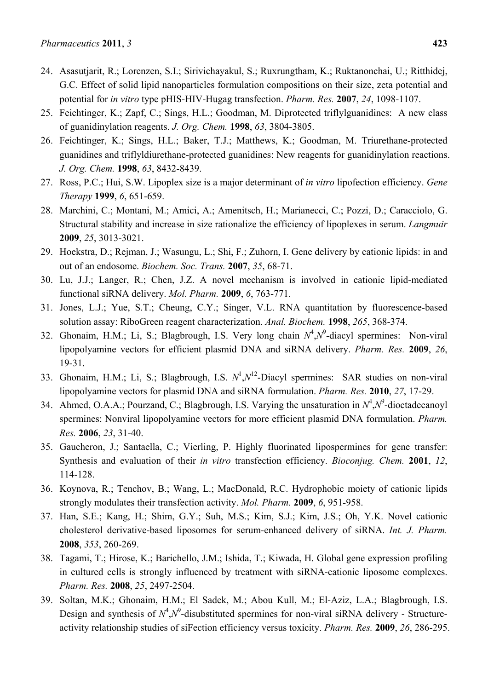- 24. Asasutjarit, R.; Lorenzen, S.I.; Sirivichayakul, S.; Ruxrungtham, K.; Ruktanonchai, U.; Ritthidej, G.C. Effect of solid lipid nanoparticles formulation compositions on their size, zeta potential and potential for *in vitro* type pHIS-HIV-Hugag transfection. *Pharm. Res.* **2007**, *24*, 1098-1107.
- 25. Feichtinger, K.; Zapf, C.; Sings, H.L.; Goodman, M. Diprotected triflylguanidines: A new class of guanidinylation reagents. *J. Org. Chem.* **1998**, *63*, 3804-3805.
- 26. Feichtinger, K.; Sings, H.L.; Baker, T.J.; Matthews, K.; Goodman, M. Triurethane-protected guanidines and triflyldiurethane-protected guanidines: New reagents for guanidinylation reactions. *J. Org. Chem.* **1998**, *63*, 8432-8439.
- 27. Ross, P.C.; Hui, S.W. Lipoplex size is a major determinant of *in vitro* lipofection efficiency. *Gene Therapy* **1999**, *6*, 651-659.
- 28. Marchini, C.; Montani, M.; Amici, A.; Amenitsch, H.; Marianecci, C.; Pozzi, D.; Caracciolo, G. Structural stability and increase in size rationalize the efficiency of lipoplexes in serum. *Langmuir*  **2009**, *25*, 3013-3021.
- 29. Hoekstra, D.; Rejman, J.; Wasungu, L.; Shi, F.; Zuhorn, I. Gene delivery by cationic lipids: in and out of an endosome. *Biochem. Soc. Trans.* **2007**, *35*, 68-71.
- 30. Lu, J.J.; Langer, R.; Chen, J.Z. A novel mechanism is involved in cationic lipid-mediated functional siRNA delivery. *Mol. Pharm.* **2009**, *6*, 763-771.
- 31. Jones, L.J.; Yue, S.T.; Cheung, C.Y.; Singer, V.L. RNA quantitation by fluorescence-based solution assay: RiboGreen reagent characterization. *Anal. Biochem.* **1998**, *265*, 368-374.
- 32. Ghonaim, H.M.; Li, S.; Blagbrough, I.S. Very long chain  $N^4$ , $N^9$ -diacyl spermines: Non-viral lipopolyamine vectors for efficient plasmid DNA and siRNA delivery. *Pharm. Res.* **2009**, *26*, 19-31.
- 33. Ghonaim, H.M.; Li, S.; Blagbrough, I.S.  $N^1, N^{12}$ -Diacyl spermines: SAR studies on non-viral lipopolyamine vectors for plasmid DNA and siRNA formulation. *Pharm. Res.* **2010**, *27*, 17-29.
- 34. Ahmed, O.A.A.; Pourzand, C.; Blagbrough, I.S. Varying the unsaturation in  $N^4$ , $N^9$ -dioctadecanoyl spermines: Nonviral lipopolyamine vectors for more efficient plasmid DNA formulation. *Pharm. Res.* **2006**, *23*, 31-40.
- 35. Gaucheron, J.; Santaella, C.; Vierling, P. Highly fluorinated lipospermines for gene transfer: Synthesis and evaluation of their *in vitro* transfection efficiency. *Bioconjug. Chem.* **2001**, *12*, 114-128.
- 36. Koynova, R.; Tenchov, B.; Wang, L.; MacDonald, R.C. Hydrophobic moiety of cationic lipids strongly modulates their transfection activity. *Mol. Pharm.* **2009**, *6*, 951-958.
- 37. Han, S.E.; Kang, H.; Shim, G.Y.; Suh, M.S.; Kim, S.J.; Kim, J.S.; Oh, Y.K. Novel cationic cholesterol derivative-based liposomes for serum-enhanced delivery of siRNA. *Int. J. Pharm.*  **2008**, *353*, 260-269.
- 38. Tagami, T.; Hirose, K.; Barichello, J.M.; Ishida, T.; Kiwada, H. Global gene expression profiling in cultured cells is strongly influenced by treatment with siRNA-cationic liposome complexes. *Pharm. Res.* **2008**, *25*, 2497-2504.
- 39. Soltan, M.K.; Ghonaim, H.M.; El Sadek, M.; Abou Kull, M.; El-Aziz, L.A.; Blagbrough, I.S. Design and synthesis of  $N^4$ , $N^9$ -disubstituted spermines for non-viral siRNA delivery - Structureactivity relationship studies of siFection efficiency versus toxicity. *Pharm. Res.* **2009**, *26*, 286-295.